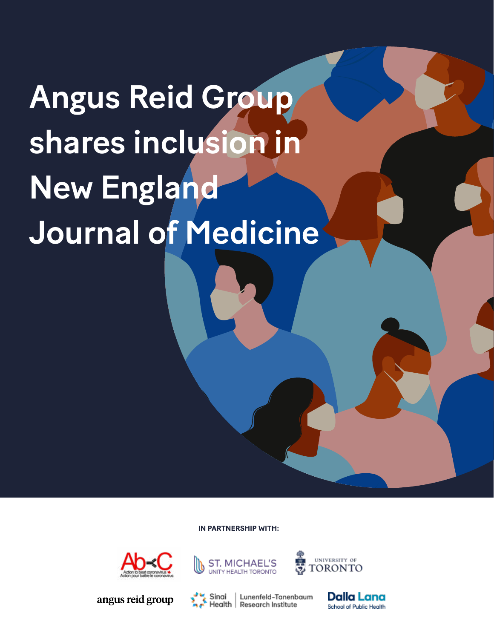## Angus Reid Group shares inclusion in New England Journal of Medicine

**IN PARTNERSHIP WITH:**



angus reid group



Sinai



Lunenfeld-Tanenbaum Health | Research Institute

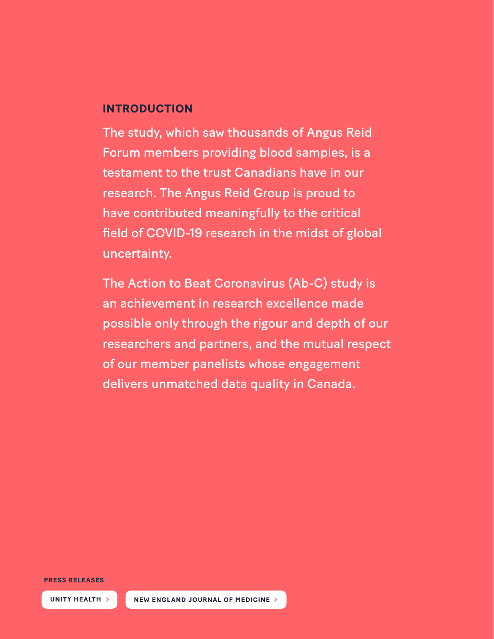## **INTRODUCTION**

The study, which saw thousands of Angus Reid Forum members providing blood samples, is a testament to the trust Canadians have in our research. The Angus Reid Group is proud to have contributed meaningfully to the critical field of COVID-19 research in the midst of global uncertainty.

The Action to Beat Coronavirus (Ab-C) study is an achievement in research excellence made possible only through the rigour and depth of our researchers and partners, and the mutual respect of our member panelists whose engagement delivers unmatched data quality in Canada.

**PRESS RELEASES**

**[UNITY HEALTH](https://unityhealth.to/2022/05/covid-19-infection-count/) > [NEW ENGLAND JOURNAL OF MEDICINE](https://www.nejm.org/doi/full/10.1056/NEJMc2202879?query=featured_home) >**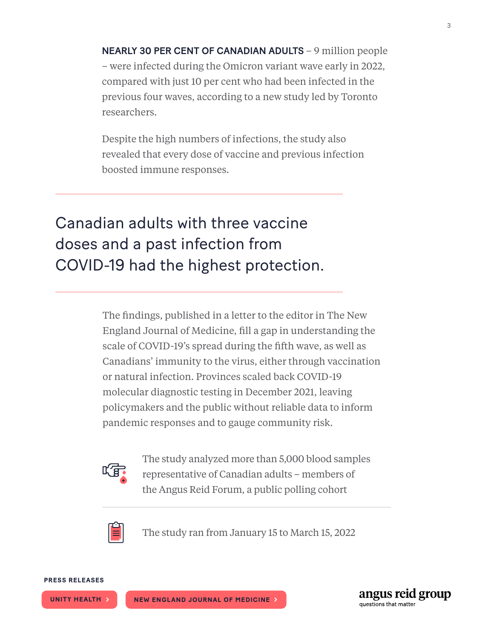NEARLY 30 PER CENT OF CANADIAN ADULTS – 9 million people – were infected during the Omicron variant wave early in 2022, compared with just 10 per cent who had been infected in the previous four waves, according to a new study led by Toronto researchers.

Despite the high numbers of infections, the study also revealed that every dose of vaccine and previous infection boosted immune responses.

## Canadian adults with three vaccine doses and a past infection from COVID-19 had the highest protection.

The findings, published in a letter to the editor in The New England Journal of Medicine, fill a gap in understanding the scale of COVID-19's spread during the fifth wave, as well as Canadians' immunity to the virus, either through vaccination or natural infection. Provinces scaled back COVID-19 molecular diagnostic testing in December 2021, leaving policymakers and the public without reliable data to inform pandemic responses and to gauge community risk.



The study analyzed more than 5,000 blood samples representative of Canadian adults – members of the Angus Reid Forum, a public polling cohort



The study ran from January 15 to March 15, 2022



**[UNITY HEALTH](https://unityhealth.to/2022/05/covid-19-infection-count/) > [NEW ENGLAND JOURNAL OF MEDICINE](https://www.nejm.org/doi/full/10.1056/NEJMc2202879?query=featured_home) >**